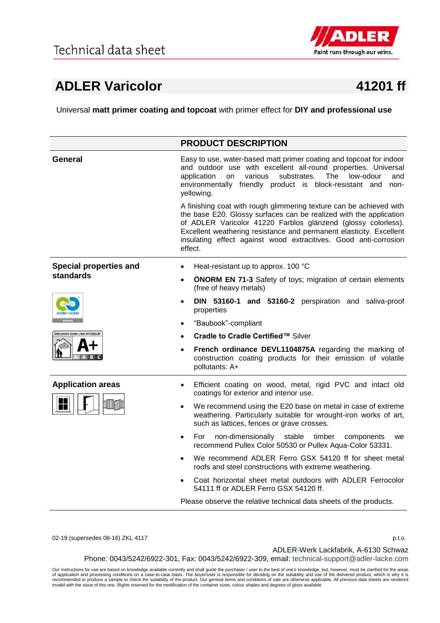

# **ADLER Varicolor 41201 ff**

Universal **matt primer coating and topcoat** with primer effect for **DIY and professional use**

|                                        | <b>PRODUCT DESCRIPTION</b>                                                                                                                                                                                                                                                                                                                                       |
|----------------------------------------|------------------------------------------------------------------------------------------------------------------------------------------------------------------------------------------------------------------------------------------------------------------------------------------------------------------------------------------------------------------|
| General                                | Easy to use, water-based matt primer coating and topcoat for indoor<br>and outdoor use with excellent all-round properties. Universal<br>various<br>substrates.<br>The<br>low-odour<br>application<br>on<br>and<br>environmentally friendly product is block-resistant and non-<br>yellowing.                                                                    |
|                                        | A finishing coat with rough glimmering texture can be achieved with<br>the base E20. Glossy surfaces can be realized with the application<br>of ADLER Varicolor 41220 Farblos glänzend (glossy colorless).<br>Excellent weathering resistance and permanent elasticity. Excellent<br>insulating effect against wood extracitives. Good anti-corrosion<br>effect. |
| <b>Special properties and</b>          | Heat-resistant up to approx. 100 °C                                                                                                                                                                                                                                                                                                                              |
| standards                              | <b>ÖNORM EN 71-3</b> Safety of toys; migration of certain elements<br>$\bullet$<br>(free of heavy metals)                                                                                                                                                                                                                                                        |
|                                        | DIN 53160-1 and 53160-2 perspiration and saliva-proof<br>properties                                                                                                                                                                                                                                                                                              |
|                                        | "Baubook"-compliant<br>$\bullet$                                                                                                                                                                                                                                                                                                                                 |
| <b>ÉMISSIONS DANS L'AIR INTÉRIEUR*</b> | Cradle to Cradle Certified™ Silver                                                                                                                                                                                                                                                                                                                               |
|                                        | French ordinance DEVL1104875A regarding the marking of<br>construction coating products for their emission of volatile<br>pollutants: A+                                                                                                                                                                                                                         |
| <b>Application areas</b>               | Efficient coating on wood, metal, rigid PVC and intact old<br>$\bullet$<br>coatings for exterior and interior use.                                                                                                                                                                                                                                               |
|                                        | We recommend using the E20 base on metal in case of extreme<br>weathering. Particularly suitable for wrought-iron works of art,<br>such as lattices, fences or grave crosses.                                                                                                                                                                                    |
|                                        | non-dimensionally stable timber<br>For<br>components<br>we<br>recommend Pullex Color 50530 or Pullex Aqua-Color 53331.                                                                                                                                                                                                                                           |
|                                        | We recommend ADLER Ferro GSX 54120 ff for sheet metal<br>$\bullet$<br>roofs and steel constructions with extreme weathering.                                                                                                                                                                                                                                     |
|                                        | Coat horizontal sheet metal outdoors with ADLER Ferrocolor<br>$\bullet$<br>54111 ff or ADLER Ferro GSX 54120 ff.                                                                                                                                                                                                                                                 |
|                                        | Please observe the relative technical data sheets of the products.                                                                                                                                                                                                                                                                                               |

02-19 (supersedes 08-16) ZKL 4117 p.t.o.

ADLER-Werk Lackfabrik, A-6130 Schwaz

Phone: 0043/5242/6922-301, Fax: 0043/5242/6922-309, email: [technical-support@adler-lacke.com](mailto:technical-support@adler-lacke.com)

Our instructions for use are based on knowledge available currently and shall guide the purchaser / user to the best of one's knowledge, but, however, must be clarified for the areas of application and processing conditions on a case-to-case basis. The buyer/user is responsible for deciding on the suitability and use of the delivered product, which is why it is<br>recommended to produce a sample to check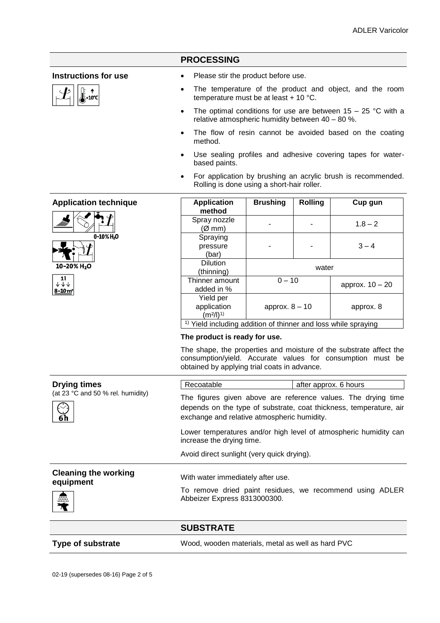### **PROCESSING**



- **Instructions for use <br> Please stir the product before use.** 
	- The temperature of the product and object, and the room temperature must be at least + 10 °C.
	- The optimal conditions for use are between  $15 25$  °C with a relative atmospheric humidity between 40 – 80 %.
	- The flow of resin cannot be avoided based on the coating method.
	- Use sealing profiles and adhesive covering tapes for waterbased paints.
	- For application by brushing an acrylic brush is recommended. Rolling is done using a short-hair roller.

### **Application technique Application**



| <b>Application</b><br>method                                              | <b>Brushing</b>  | <b>Rolling</b> | Cup gun         |
|---------------------------------------------------------------------------|------------------|----------------|-----------------|
| Spray nozzle<br>(Ø mm)                                                    |                  |                | $1.8 - 2$       |
| Spraying<br>pressure<br>(bar)                                             |                  |                | $3 - 4$         |
| <b>Dilution</b><br>(thinning)                                             |                  | water          |                 |
| Thinner amount<br>added in %                                              | $0 - 10$         |                | approx. 10 - 20 |
| Yield per<br>application<br>(m <sup>2</sup> /I) <sup>1</sup>              | approx. $8 - 10$ |                | approx. 8       |
| <sup>1)</sup> Yield including addition of thinner and loss while spraying |                  |                |                 |

## **The product is ready for use.**

The shape, the properties and moisture of the substrate affect the consumption/yield. Accurate values for consumption must be obtained by applying trial coats in advance.

| <b>Drying times</b>                      | Recoatable                                                                                                                                                                         | after approx. 6 hours |
|------------------------------------------|------------------------------------------------------------------------------------------------------------------------------------------------------------------------------------|-----------------------|
| (at 23 °C and 50 % rel. humidity)<br>6ĥ  | The figures given above are reference values. The drying time<br>depends on the type of substrate, coat thickness, temperature, air<br>exchange and relative atmospheric humidity. |                       |
|                                          | Lower temperatures and/or high level of atmospheric humidity can<br>increase the drying time.                                                                                      |                       |
|                                          | Avoid direct sunlight (very quick drying).                                                                                                                                         |                       |
| <b>Cleaning the working</b><br>equipment | With water immediately after use.                                                                                                                                                  |                       |
| Æ.                                       | To remove dried paint residues, we recommend using ADLER<br>Abbeizer Express 8313000300.                                                                                           |                       |
|                                          | <b>SUBSTRATE</b>                                                                                                                                                                   |                       |
| <b>Type of substrate</b>                 | Wood, wooden materials, metal as well as hard PVC                                                                                                                                  |                       |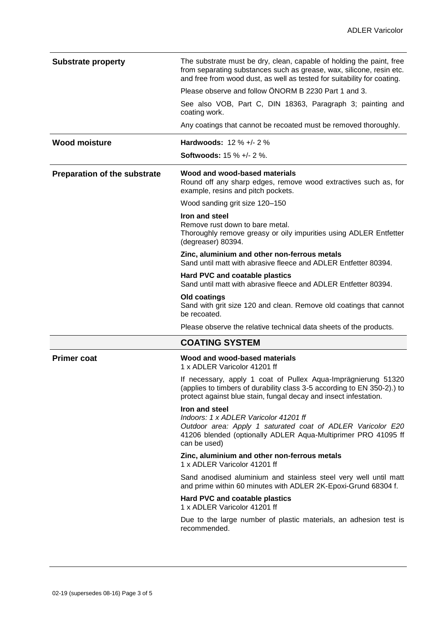| <b>Substrate property</b>           | The substrate must be dry, clean, capable of holding the paint, free<br>from separating substances such as grease, wax, silicone, resin etc.<br>and free from wood dust, as well as tested for suitability for coating. |
|-------------------------------------|-------------------------------------------------------------------------------------------------------------------------------------------------------------------------------------------------------------------------|
|                                     | Please observe and follow ONORM B 2230 Part 1 and 3.                                                                                                                                                                    |
|                                     | See also VOB, Part C, DIN 18363, Paragraph 3; painting and<br>coating work.                                                                                                                                             |
|                                     | Any coatings that cannot be recoated must be removed thoroughly.                                                                                                                                                        |
| <b>Wood moisture</b>                | Hardwoods: $12 \% +/- 2 \%$                                                                                                                                                                                             |
|                                     | <b>Softwoods: 15 % +/- 2 %.</b>                                                                                                                                                                                         |
| <b>Preparation of the substrate</b> | Wood and wood-based materials<br>Round off any sharp edges, remove wood extractives such as, for<br>example, resins and pitch pockets.                                                                                  |
|                                     | Wood sanding grit size 120-150                                                                                                                                                                                          |
|                                     | Iron and steel<br>Remove rust down to bare metal.<br>Thoroughly remove greasy or oily impurities using ADLER Entfetter<br>(degreaser) 80394.                                                                            |
|                                     | Zinc, aluminium and other non-ferrous metals<br>Sand until matt with abrasive fleece and ADLER Entfetter 80394.                                                                                                         |
|                                     | <b>Hard PVC and coatable plastics</b><br>Sand until matt with abrasive fleece and ADLER Entfetter 80394.                                                                                                                |
|                                     | <b>Old coatings</b><br>Sand with grit size 120 and clean. Remove old coatings that cannot<br>be recoated.                                                                                                               |
|                                     | Please observe the relative technical data sheets of the products.                                                                                                                                                      |
|                                     | <b>COATING SYSTEM</b>                                                                                                                                                                                                   |
| <b>Primer coat</b>                  | Wood and wood-based materials<br>1 x ADLER Varicolor 41201 ff                                                                                                                                                           |
|                                     | If necessary, apply 1 coat of Pullex Aqua-Imprägnierung 51320<br>(applies to timbers of durability class 3-5 according to EN 350-2).) to<br>protect against blue stain, fungal decay and insect infestation.            |
|                                     | Iron and steel<br>Indoors: 1 x ADLER Varicolor 41201 ff<br>Outdoor area: Apply 1 saturated coat of ADLER Varicolor E20<br>41206 blended (optionally ADLER Aqua-Multiprimer PRO 41095 ff<br>can be used)                 |
|                                     |                                                                                                                                                                                                                         |
|                                     | Zinc, aluminium and other non-ferrous metals<br>1 x ADLER Varicolor 41201 ff                                                                                                                                            |
|                                     | Sand anodised aluminium and stainless steel very well until matt<br>and prime within 60 minutes with ADLER 2K-Epoxi-Grund 68304 f.                                                                                      |
|                                     | <b>Hard PVC and coatable plastics</b><br>1 x ADLER Varicolor 41201 ff                                                                                                                                                   |
|                                     | Due to the large number of plastic materials, an adhesion test is<br>recommended.                                                                                                                                       |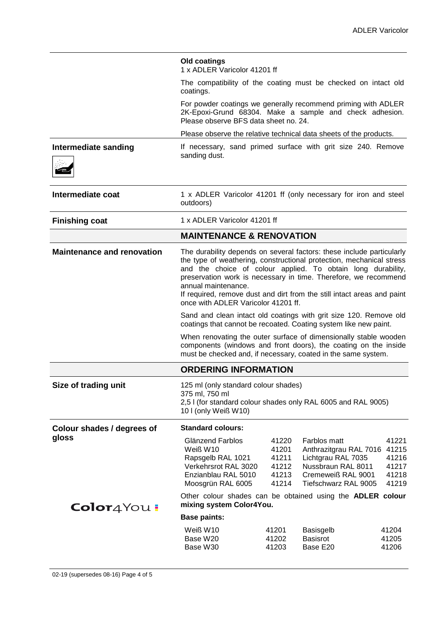|                                   | Old coatings<br>1 x ADLER Varicolor 41201 ff                                                                                                                                                                                                                                                                                                                                                                              |                                                    |                                                                                                                                        |                                           |
|-----------------------------------|---------------------------------------------------------------------------------------------------------------------------------------------------------------------------------------------------------------------------------------------------------------------------------------------------------------------------------------------------------------------------------------------------------------------------|----------------------------------------------------|----------------------------------------------------------------------------------------------------------------------------------------|-------------------------------------------|
|                                   | The compatibility of the coating must be checked on intact old<br>coatings.                                                                                                                                                                                                                                                                                                                                               |                                                    |                                                                                                                                        |                                           |
|                                   | For powder coatings we generally recommend priming with ADLER<br>2K-Epoxi-Grund 68304. Make a sample and check adhesion.<br>Please observe BFS data sheet no. 24.                                                                                                                                                                                                                                                         |                                                    |                                                                                                                                        |                                           |
|                                   | Please observe the relative technical data sheets of the products.                                                                                                                                                                                                                                                                                                                                                        |                                                    |                                                                                                                                        |                                           |
| Intermediate sanding              | If necessary, sand primed surface with grit size 240. Remove<br>sanding dust.                                                                                                                                                                                                                                                                                                                                             |                                                    |                                                                                                                                        |                                           |
| Intermediate coat                 | 1 x ADLER Varicolor 41201 ff (only necessary for iron and steel<br>outdoors)                                                                                                                                                                                                                                                                                                                                              |                                                    |                                                                                                                                        |                                           |
| <b>Finishing coat</b>             | 1 x ADLER Varicolor 41201 ff                                                                                                                                                                                                                                                                                                                                                                                              |                                                    |                                                                                                                                        |                                           |
|                                   | <b>MAINTENANCE &amp; RENOVATION</b>                                                                                                                                                                                                                                                                                                                                                                                       |                                                    |                                                                                                                                        |                                           |
| <b>Maintenance and renovation</b> | The durability depends on several factors: these include particularly<br>the type of weathering, constructional protection, mechanical stress<br>and the choice of colour applied. To obtain long durability,<br>preservation work is necessary in time. Therefore, we recommend<br>annual maintenance.<br>If required, remove dust and dirt from the still intact areas and paint<br>once with ADLER Varicolor 41201 ff. |                                                    |                                                                                                                                        |                                           |
|                                   | Sand and clean intact old coatings with grit size 120. Remove old<br>coatings that cannot be recoated. Coating system like new paint.                                                                                                                                                                                                                                                                                     |                                                    |                                                                                                                                        |                                           |
|                                   | When renovating the outer surface of dimensionally stable wooden<br>components (windows and front doors), the coating on the inside<br>must be checked and, if necessary, coated in the same system.                                                                                                                                                                                                                      |                                                    |                                                                                                                                        |                                           |
|                                   | <b>ORDERING INFORMATION</b>                                                                                                                                                                                                                                                                                                                                                                                               |                                                    |                                                                                                                                        |                                           |
| Size of trading unit              | 125 ml (only standard colour shades)<br>375 ml, 750 ml<br>2,5 I (for standard colour shades only RAL 6005 and RAL 9005)<br>10 I (only Weiß W10)                                                                                                                                                                                                                                                                           |                                                    |                                                                                                                                        |                                           |
| Colour shades / degrees of        | <b>Standard colours:</b>                                                                                                                                                                                                                                                                                                                                                                                                  |                                                    |                                                                                                                                        |                                           |
| gloss                             | Glänzend Farblos<br>Weiß W10<br>Rapsgelb RAL 1021<br>Verkehrsrot RAL 3020<br>Enzianblau RAL 5010<br>Moosgrün RAL 6005                                                                                                                                                                                                                                                                                                     | 41220<br>41201<br>41211<br>41212<br>41213<br>41214 | Farblos matt<br>Anthrazitgrau RAL 7016 41215<br>Lichtgrau RAL 7035<br>Nussbraun RAL 8011<br>Cremeweiß RAL 9001<br>Tiefschwarz RAL 9005 | 41221<br>41216<br>41217<br>41218<br>41219 |
| Color4You <del>:</del>            | Other colour shades can be obtained using the <b>ADLER colour</b><br>mixing system Color4You.                                                                                                                                                                                                                                                                                                                             |                                                    |                                                                                                                                        |                                           |
|                                   | <b>Base paints:</b>                                                                                                                                                                                                                                                                                                                                                                                                       |                                                    |                                                                                                                                        |                                           |
|                                   | Weiß W10<br>Base W20<br>Base W30                                                                                                                                                                                                                                                                                                                                                                                          | 41201<br>41202<br>41203                            | <b>Basisgelb</b><br><b>Basisrot</b><br>Base E20                                                                                        | 41204<br>41205<br>41206                   |